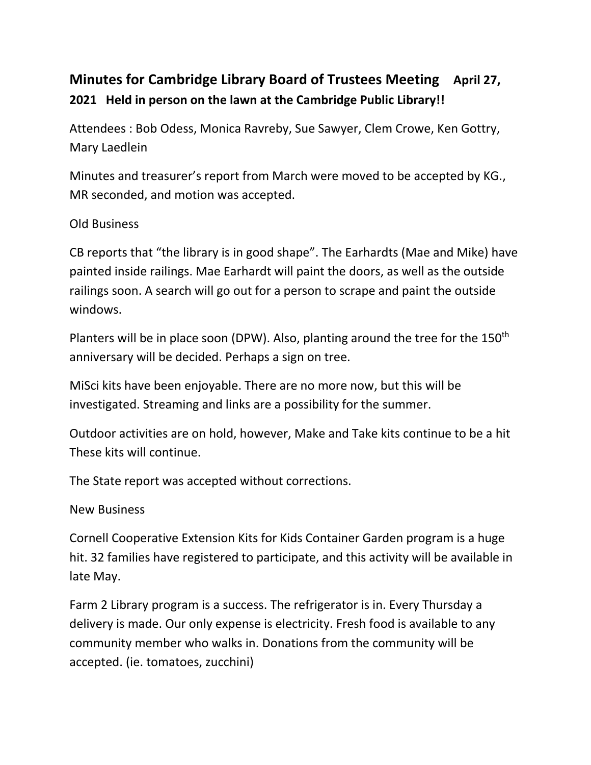## **Minutes for Cambridge Library Board of Trustees Meeting April 27, 2021 Held in person on the lawn at the Cambridge Public Library!!**

Attendees : Bob Odess, Monica Ravreby, Sue Sawyer, Clem Crowe, Ken Gottry, Mary Laedlein

Minutes and treasurer's report from March were moved to be accepted by KG., MR seconded, and motion was accepted.

## Old Business

CB reports that "the library is in good shape". The Earhardts (Mae and Mike) have painted inside railings. Mae Earhardt will paint the doors, as well as the outside railings soon. A search will go out for a person to scrape and paint the outside windows.

Planters will be in place soon (DPW). Also, planting around the tree for the 150<sup>th</sup> anniversary will be decided. Perhaps a sign on tree.

MiSci kits have been enjoyable. There are no more now, but this will be investigated. Streaming and links are a possibility for the summer.

Outdoor activities are on hold, however, Make and Take kits continue to be a hit These kits will continue.

The State report was accepted without corrections.

## New Business

Cornell Cooperative Extension Kits for Kids Container Garden program is a huge hit. 32 families have registered to participate, and this activity will be available in late May.

Farm 2 Library program is a success. The refrigerator is in. Every Thursday a delivery is made. Our only expense is electricity. Fresh food is available to any community member who walks in. Donations from the community will be accepted. (ie. tomatoes, zucchini)